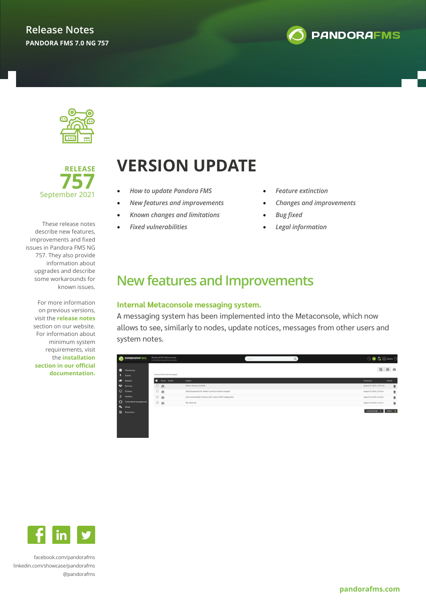





These release notes describe new features, improvements and fixed issues in Pandora FMS NG 757. They also provide information about upgrades and describe some workarounds for known issues.

> For more information on previous versions, visit the **release notes** section on our website. For information about minimum system requirements, visit the **installation section in our official documentation.**

# **VERSION UPDATE**

- *How to update Pandora FMS*
- *New features and improvements*
- *Known changes and limitations*
- *Fixed vulnerabilities*
- *Feature extinction*
- *Changes and improvements*
- *Bug fixed*
- *Legal information*

### **New features and Improvements**

#### **Internal Metaconsole messaging system.**

A messaging system has been implemented into the Metaconsole, which now allows to see, similarly to nodes, update notices, messages from other users and system notes.

|                                                 | PANDORAFMS             | PandoraFMS Metaconsole<br>Centralized operation console |                                                           | Search | Q | $\Theta \otimes \mathbb{R} \otimes \mathbb{R}$ |                 |
|-------------------------------------------------|------------------------|---------------------------------------------------------|-----------------------------------------------------------|--------|---|------------------------------------------------|-----------------|
| $\bullet$<br>Monitoring<br>$\frac{1}{2}$ Events |                        | You have 0 unread message(s).                           |                                                           |        |   | 囻                                              | 白色              |
| Reports                                         |                        | п<br>Status Sender                                      | Subject                                                   |        |   | Timestamp                                      | <b>Delete</b>   |
| Services                                        |                        | $\qquad \qquad \Box$<br>商                               | Minor release/s available                                 |        |   | August 15, 2021, 12:55 pm                      | 壶               |
| Screens                                         |                        | $\Box$<br>ă                                             | Default password for "Admin" user has not been changed    |        |   | August 15, 2021, 2:25 pm                       | 壺               |
| <b>Netflow</b>                                  |                        | ි ලි                                                    | Not recommended 'memory_limit' value in PHP configuration |        |   | August 15, 2021, 2:45 pm                       | 壶               |
|                                                 | Centralised management | 口首                                                      | RE: ola ke ase                                            |        |   | August 16, 2021, 9:15 am                       | $\bar{\varpi}$  |
| <b>D<sub>o</sub></b> Setup                      |                        |                                                         |                                                           |        |   |                                                |                 |
| B.<br>Extensions                                |                        |                                                         |                                                           |        |   | Create message                                 | Delete <b>B</b> |



[facebook.com/pandorafms](https://es-es.facebook.com/pandorafms/) [linkedin.com/showcase/pandorafms](https://www.linkedin.com/showcase/pandorafms) [@pandorafms](https://twitter.com/pandorafms)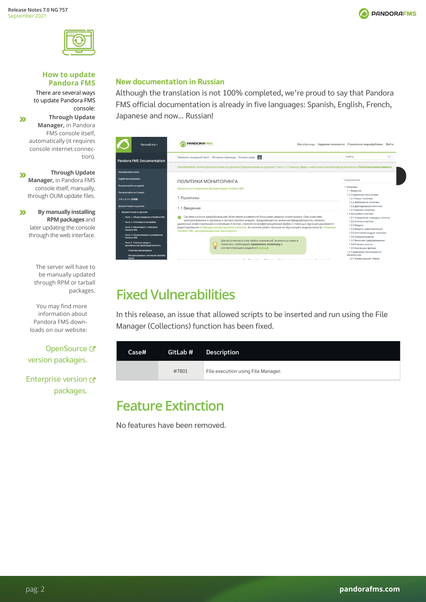



#### **How to update Pandora FMS**

There are several ways to update Pandora FMS console:

**Through Update**   $\mathbf{v}$ **Manager,** in Pandora FMS console itself, automatically (it requires console internet connection).

**Through Update**   $\boldsymbol{\Sigma}$ **Manager,** in Pandora FMS console itself, manually, through OUM update files.

 $\boldsymbol{\Sigma}$ **By manually installing RPM packages** and later updating the console through the web interface.

> The server will have to be manually updated through RPM or tarball packages.

You may find more information about Pandora FMS downloads on our website:

OpenSource<sup>C</sup> [version packages.](https://pandorafms.com/community/get-started/) 

[Enterprise version](https://support.artica.es/integria/index.php?sec=download&sec2=operation/download/browse&show_types=1) & [packages.](https://support.artica.es/integria/index.php?sec=download&sec2=operation/download/browse&show_types=1)

### **New documentation in Russian**

Although the translation is not 100% completed, we're proud to say that Pandora FMS official documentation is already in five languages: Spanish, English, French, Japanese and now… Russian!

| Русский (ru) ~                                                                                                                                                        | <b>PANDORAFMS</b>                                                                                                                                                                                                                                                                                                                                                                                                                                                                             | Все страницы Недавние изменения Управление медиафайлами<br>Войти                                                                                                       |
|-----------------------------------------------------------------------------------------------------------------------------------------------------------------------|-----------------------------------------------------------------------------------------------------------------------------------------------------------------------------------------------------------------------------------------------------------------------------------------------------------------------------------------------------------------------------------------------------------------------------------------------------------------------------------------------|------------------------------------------------------------------------------------------------------------------------------------------------------------------------|
| <b>Pandora FMS Documentation</b>                                                                                                                                      | Показать исходный текст История страницы Ссылки сюда<br>Documentation home / Документация на русском / Документация на русском / Часть 5. Сложные среды и максимальная производительность / Политики мониторинга                                                                                                                                                                                                                                                                              | Найти                                                                                                                                                                  |
| <b>Documentation home</b><br><b>English documentation</b>                                                                                                             |                                                                                                                                                                                                                                                                                                                                                                                                                                                                                               |                                                                                                                                                                        |
| Documentación en español<br><b>Documentation en Français</b>                                                                                                          | ПОЛИТИКИ МОНИТОРИНГА<br>Вернуться в оглавление Документации Pandora FMS                                                                                                                                                                                                                                                                                                                                                                                                                       | <sup>^</sup> Содержание<br>1 Политики<br>1.1 Введение                                                                                                                  |
| ドキュメント(日本語)                                                                                                                                                           | Политики                                                                                                                                                                                                                                                                                                                                                                                                                                                                                      | 1.2 Управление политиками<br>1.2.1 Поиск политики<br>1.2.2 Добавление политики                                                                                         |
| Документация на русском<br>Документация на русском                                                                                                                    | 1.1 Введение                                                                                                                                                                                                                                                                                                                                                                                                                                                                                  | 1.2.3 Дублирование политики<br>1.2.4 Удалить политику                                                                                                                  |
| Часть 1. Общие сведения о Pandora FMS<br>Часть 2. Установка и настройка<br>Часть 3. Мониторинг с помощью<br><b>Pandora FMS</b><br>Часть 4. Использование и управление | Система политик разработана для облегчения управления большими средами мониторинга. Она позволяет<br>Θ<br>централизованно и однородно распространять модули, предупреждения, внешние предупреждения, плагины,<br>удаленные инвентаризации и коллекции Агентам, изменяя их конфигурационные файлы с помощью функции удаленного<br>редактирования конфигурации программных агентов. Вы можете узнать больше из обучающего видеоролика © «Политики<br>Pandora FMS: централизованный мониторинг». | 1.3 Настройка политики<br>1.3.1 Управление очередью политик<br>1.3.2 Агенты и группы<br>1.3.3 Модули<br>1.3.4 Модули инвентаризации<br>1.3.5 Состояния модуля политики |
| <b>Pandora FMS</b><br>Часть 5. Сложные среды и<br>максимальная производительность<br>Политики мониторинга                                                             | Для вступления в силу любых изменений, внесенных нами в<br>политики, необходимо применить политику в<br>соответствующем разделе (Очередь).                                                                                                                                                                                                                                                                                                                                                    | 1.3.6 Предупреждение<br>1.3.7 Внешние предупреждения<br>1.3.8 Плагины агента<br>1.3.9 Коллекции файлов<br>1.4 Управление политиками из<br>метаконсоли                  |
| Распространение топологии: Satellite<br>Server                                                                                                                        |                                                                                                                                                                                                                                                                                                                                                                                                                                                                                               | 1.4.1 Конфигурация, Режим                                                                                                                                              |

### **Fixed Vulnerabilities**

In this release, an issue that allowed scripts to be inserted and run using the File Manager (Collections) function has been fixed.

| Case# |       | GitLab # Description               |
|-------|-------|------------------------------------|
|       | #7801 | File execution using File Manager. |

### **Feature Extinction**

No features have been removed.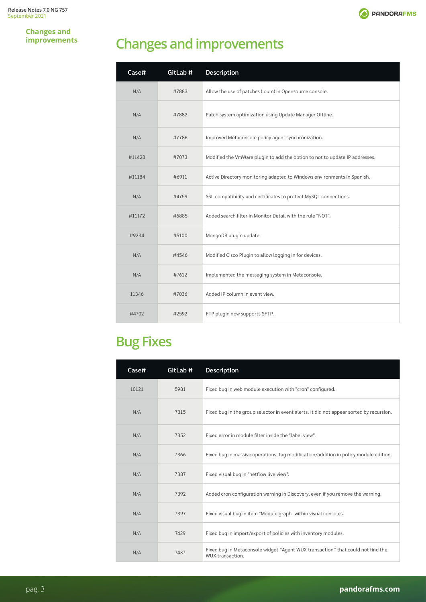

**Changes and improvements**

## **Changes and improvements**

| Case#  | GitLab # | <b>Description</b>                                                          |
|--------|----------|-----------------------------------------------------------------------------|
| N/A    | #7883    | Allow the use of patches (.oum) in Opensource console.                      |
| N/A    | #7882    | Patch system optimization using Update Manager Offline.                     |
| N/A    | #7786    | Improved Metaconsole policy agent synchronization.                          |
| #11428 | #7073    | Modified the VmWare plugin to add the option to not to update IP addresses. |
| #11184 | #6911    | Active Directory monitoring adapted to Windows environments in Spanish.     |
| N/A    | #4759    | SSL compatibility and certificates to protect MySQL connections.            |
| #11172 | #6885    | Added search filter in Monitor Detail with the rule "NOT".                  |
| #9234  | #5100    | MongoDB plugin update.                                                      |
| N/A    | #4546    | Modified Cisco Plugin to allow logging in for devices.                      |
| N/A    | #7612    | Implemented the messaging system in Metaconsole.                            |
| 11346  | #7036    | Added IP column in event view.                                              |
| #4702  | #2592    | FTP plugin now supports SFTP.                                               |

### **Bug Fixes**

| Case# | GitLab # | <b>Description</b>                                                                                  |
|-------|----------|-----------------------------------------------------------------------------------------------------|
| 10121 | 5981     | Fixed bug in web module execution with "cron" configured.                                           |
| N/A   | 7315     | Fixed bug in the group selector in event alerts. It did not appear sorted by recursion.             |
| N/A   | 7352     | Fixed error in module filter inside the "label view".                                               |
| N/A   | 7366     | Fixed bug in massive operations, tag modification/addition in policy module edition.                |
| N/A   | 7387     | Fixed visual bug in "netflow live view".                                                            |
| N/A   | 7392     | Added cron configuration warning in Discovery, even if you remove the warning.                      |
| N/A   | 7397     | Fixed visual bug in item "Module graph" within visual consoles.                                     |
| N/A   | 7429     | Fixed bug in import/export of policies with inventory modules.                                      |
| N/A   | 7437     | Fixed bug in Metaconsole widget "Agent WUX transaction" that could not find the<br>WUX transaction. |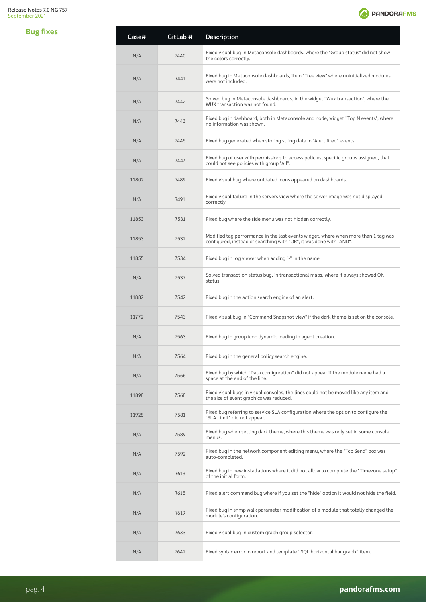

| <b>Bug fixes</b> | Case# | GitLab # | Description                                                                                                                                               |
|------------------|-------|----------|-----------------------------------------------------------------------------------------------------------------------------------------------------------|
|                  | N/A   | 7440     | Fixed visual bug in Metaconsole dashboards, where the "Group status" did not show<br>the colors correctly.                                                |
|                  | N/A   | 7441     | Fixed bug in Metaconsole dashboards, item "Tree view" where uninitialized modules<br>were not included.                                                   |
|                  | N/A   | 7442     | Solved bug in Metaconsole dashboards, in the widget "Wux transaction", where the<br>WUX transaction was not found.                                        |
|                  | N/A   | 7443     | Fixed bug in dashboard, both in Metaconsole and node, widget "Top N events", where<br>no information was shown.                                           |
|                  | N/A   | 7445     | Fixed bug generated when storing string data in "Alert fired" events.                                                                                     |
|                  | N/A   | 7447     | Fixed bug of user with permissions to access policies, specific groups assigned, that<br>could not see policies with group "All".                         |
|                  | 11802 | 7489     | Fixed visual bug where outdated icons appeared on dashboards.                                                                                             |
|                  | N/A   | 7491     | Fixed visual failure in the servers view where the server image was not displayed<br>correctly.                                                           |
|                  | 11853 | 7531     | Fixed bug where the side menu was not hidden correctly.                                                                                                   |
|                  | 11853 | 7532     | Modified tag performance in the last events widget, where when more than 1 tag was<br>configured, instead of searching with "OR", it was done with "AND". |
|                  | 11855 | 7534     | Fixed bug in log viewer when adding "-" in the name.                                                                                                      |
|                  | N/A   | 7537     | Solved transaction status bug, in transactional maps, where it always showed OK<br>status.                                                                |
|                  | 11882 | 7542     | Fixed bug in the action search engine of an alert.                                                                                                        |
|                  | 11772 | 7543     | Fixed visual bug in "Command Snapshot view" if the dark theme is set on the console.                                                                      |
|                  | N/A   | 7563     | Fixed bug in group icon dynamic loading in agent creation.                                                                                                |
|                  | N/A   | 7564     | Fixed bug in the general policy search engine.                                                                                                            |
|                  | N/A   | 7566     | Fixed bug by which "Data configuration" did not appear if the module name had a<br>space at the end of the line.                                          |
|                  | 11898 | 7568     | Fixed visual bugs in visual consoles, the lines could not be moved like any item and<br>the size of event graphics was reduced.                           |
|                  | 11928 | 7581     | Fixed bug referring to service SLA configuration where the option to configure the<br>"SLA Limit" did not appear.                                         |
|                  | N/A   | 7589     | Fixed bug when setting dark theme, where this theme was only set in some console<br>menus.                                                                |
|                  | N/A   | 7592     | Fixed bug in the network component editing menu, where the "Tcp Send" box was<br>auto-completed.                                                          |
|                  | N/A   | 7613     | Fixed bug in new installations where it did not allow to complete the "Timezone setup"<br>of the initial form.                                            |
|                  | N/A   | 7615     | Fixed alert command bug where if you set the "hide" option it would not hide the field.                                                                   |
|                  | N/A   | 7619     | Fixed bug in snmp walk parameter modification of a module that totally changed the<br>module's configuration.                                             |
|                  | N/A   | 7633     | Fixed visual bug in custom graph group selector.                                                                                                          |
|                  | N/A   | 7642     | Fixed syntax error in report and template "SQL horizontal bar graph" item.                                                                                |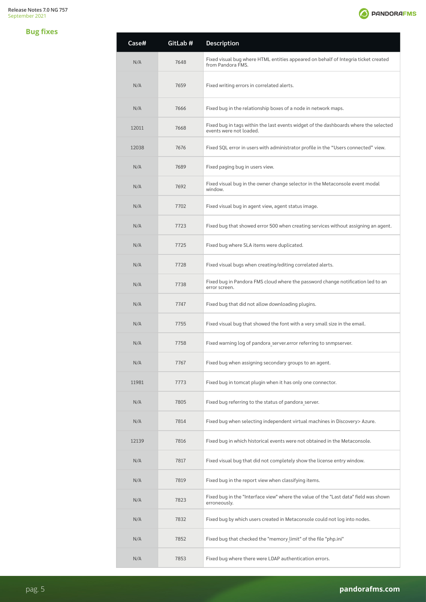### **Bug fixes**



| Case# | GitLab # | <b>Description</b>                                                                                              |
|-------|----------|-----------------------------------------------------------------------------------------------------------------|
| N/A   | 7648     | Fixed visual bug where HTML entities appeared on behalf of Integria ticket created<br>from Pandora FMS.         |
| N/A   | 7659     | Fixed writing errors in correlated alerts.                                                                      |
| N/A   | 7666     | Fixed bug in the relationship boxes of a node in network maps.                                                  |
| 12011 | 7668     | Fixed bug in tags within the last events widget of the dashboards where the selected<br>events were not loaded. |
| 12038 | 7676     | Fixed SQL error in users with administrator profile in the "Users connected" view.                              |
| N/A   | 7689     | Fixed paging bug in users view.                                                                                 |
| N/A   | 7692     | Fixed visual bug in the owner change selector in the Metaconsole event modal<br>window.                         |
| N/A   | 7702     | Fixed visual bug in agent view, agent status image.                                                             |
| N/A   | 7723     | Fixed bug that showed error 500 when creating services without assigning an agent.                              |
| N/A   | 7725     | Fixed bug where SLA items were duplicated.                                                                      |
| N/A   | 7728     | Fixed visual bugs when creating/editing correlated alerts.                                                      |
| N/A   | 7738     | Fixed bug in Pandora FMS cloud where the password change notification led to an<br>error screen.                |
| N/A   | 7747     | Fixed bug that did not allow downloading plugins.                                                               |
| N/A   | 7755     | Fixed visual bug that showed the font with a very small size in the email.                                      |
| N/A   | 7758     | Fixed warning log of pandora server.error referring to snmpserver.                                              |
| N/A   | 7767     | Fixed bug when assigning secondary groups to an agent.                                                          |
| 11981 | 7773     | Fixed bug in tomcat plugin when it has only one connector.                                                      |
| N/A   | 7805     | Fixed bug referring to the status of pandora server.                                                            |
| N/A   | 7814     | Fixed bug when selecting independent virtual machines in Discovery > Azure.                                     |
| 12139 | 7816     | Fixed bug in which historical events were not obtained in the Metaconsole.                                      |
| N/A   | 7817     | Fixed visual bug that did not completely show the license entry window.                                         |
| N/A   | 7819     | Fixed bug in the report view when classifying items.                                                            |
| N/A   | 7823     | Fixed bug in the "Interface view" where the value of the "Last data" field was shown<br>erroneously.            |
| N/A   | 7832     | Fixed bug by which users created in Metaconsole could not log into nodes.                                       |
| N/A   | 7852     | Fixed bug that checked the "memory limit" of the file "php.ini"                                                 |
| N/A   | 7853     | Fixed bug where there were LDAP authentication errors.                                                          |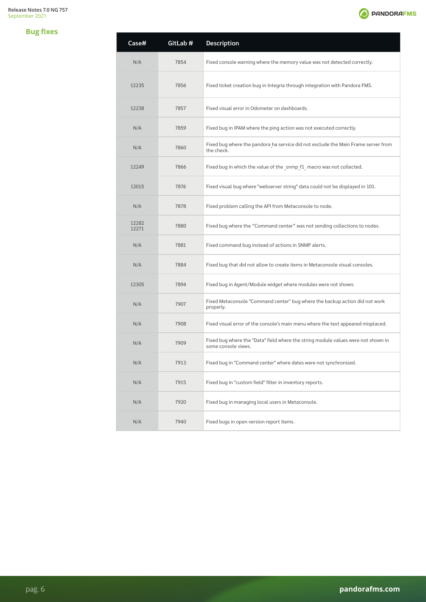#### **Bug fixes**

 $\text{Case} \#$ 

12282

| Case#          | GitLab # | Description                                                                                              |
|----------------|----------|----------------------------------------------------------------------------------------------------------|
| N/A            | 7854     | Fixed console warning where the memory value was not detected correctly.                                 |
| 12235          | 7856     | Fixed ticket creation bug in Integria through integration with Pandora FMS.                              |
| 12238          | 7857     | Fixed visual error in Odometer on dashboards.                                                            |
| N/A            | 7859     | Fixed bug in IPAM where the ping action was not executed correctly.                                      |
| N/A            | 7860     | Fixed bug where the pandora ha service did not exclude the Main Frame server from<br>the check.          |
| 12249          | 7866     | Fixed bug in which the value of the snmp f1 macro was not collected.                                     |
| 12015          | 7876     | Fixed visual bug where "webserver string" data could not be displayed in 101.                            |
| N/A            | 7878     | Fixed problem calling the API from Metaconsole to node.                                                  |
| 12282<br>12271 | 7880     | Fixed bug where the "Command center" was not sending collections to nodes.                               |
| N/A            | 7881     | Fixed command bug instead of actions in SNMP alerts.                                                     |
| N/A            | 7884     | Fixed bug that did not allow to create items in Metaconsole visual consoles.                             |
| 12305          | 7894     | Fixed bug in Agent/Module widget where modules were not shown.                                           |
| N/A            | 7907     | Fixed Metaconsole "Command center" bug where the backup action did not work<br>properly.                 |
| N/A            | 7908     | Fixed visual error of the console's main menu where the text appeared misplaced.                         |
| N/A            | 7909     | Fixed bug where the "Data" field where the string module values were not shown in<br>some console views. |
| N/A            | 7913     | Fixed bug in "Command center" where dates were not synchronized.                                         |

N/A 7915 Fixed bug in "custom field" filter in inventory reports.

N/A 7920 Fixed bug in managing local users in Metaconsole.

N/A 7940 Fixed bugs in open version report items.

**O** PANDORAFMS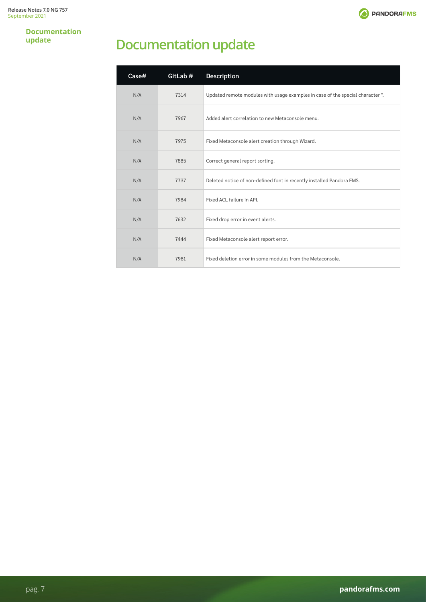

**Documentation update**

## **Documentation update**

| Case# | GitLab # | <b>Description</b>                                                            |
|-------|----------|-------------------------------------------------------------------------------|
| N/A   | 7314     | Updated remote modules with usage examples in case of the special character". |
| N/A   | 7967     | Added alert correlation to new Metaconsole menu.                              |
| N/A   | 7975     | Fixed Metaconsole alert creation through Wizard.                              |
| N/A   | 7885     | Correct general report sorting.                                               |
| N/A   | 7737     | Deleted notice of non-defined font in recently installed Pandora FMS.         |
| N/A   | 7984     | Fixed ACL failure in API.                                                     |
| N/A   | 7632     | Fixed drop error in event alerts.                                             |
| N/A   | 7444     | Fixed Metaconsole alert report error.                                         |
| N/A   | 7981     | Fixed deletion error in some modules from the Metaconsole.                    |